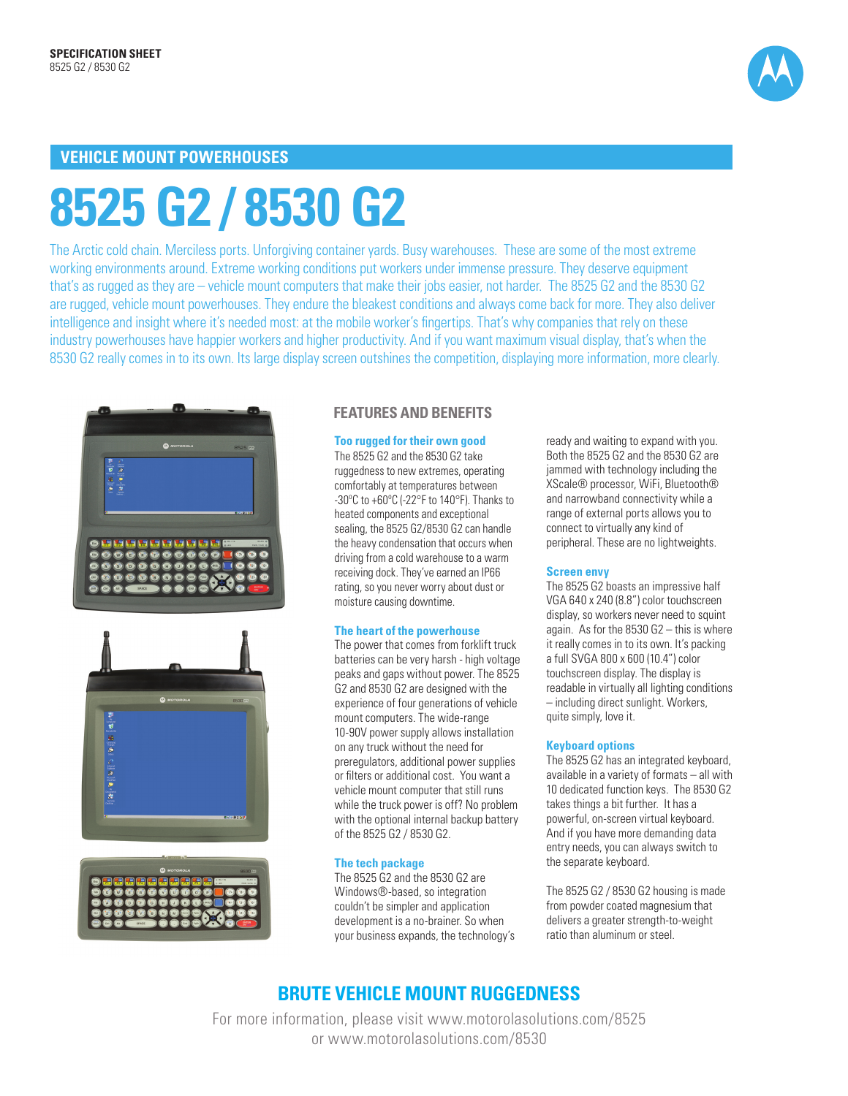

## **VEHICLE MOUNT POWERHOUSES**

# **8525 G2 / 8530 G2**

The Arctic cold chain. Merciless ports. Unforgiving container yards. Busy warehouses. These are some of the most extreme working environments around. Extreme working conditions put workers under immense pressure. They deserve equipment that's as rugged as they are – vehicle mount computers that make their jobs easier, not harder. The 8525 G2 and the 8530 G2 are rugged, vehicle mount powerhouses. They endure the bleakest conditions and always come back for more. They also deliver intelligence and insight where it's needed most: at the mobile worker's fingertips. That's why companies that rely on these industry powerhouses have happier workers and higher productivity. And if you want maximum visual display, that's when the 8530 G2 really comes in to its own. Its large display screen outshines the competition, displaying more information, more clearly.







#### **FEATURES AND BENEFITS**

#### **Too rugged for their own good**

The 8525 G2 and the 8530 G2 take ruggedness to new extremes, operating comfortably at temperatures between -30ºC to +60ºC (-22°F to 140°F). Thanks to heated components and exceptional sealing, the 8525 G2/8530 G2 can handle the heavy condensation that occurs when driving from a cold warehouse to a warm receiving dock. They've earned an IP66 rating, so you never worry about dust or moisture causing downtime.

#### **The heart of the powerhouse**

The power that comes from forklift truck batteries can be very harsh - high voltage peaks and gaps without power. The 8525 G2 and 8530 G2 are designed with the experience of four generations of vehicle mount computers. The wide-range 10-90V power supply allows installation on any truck without the need for preregulators, additional power supplies or filters or additional cost. You want a vehicle mount computer that still runs while the truck power is off? No problem with the optional internal backup battery of the 8525 G2 / 8530 G2.

#### **The tech package**

The 8525 G2 and the 8530 G2 are Windows®-based, so integration couldn't be simpler and application development is a no-brainer. So when your business expands, the technology's ready and waiting to expand with you. Both the 8525 G2 and the 8530 G2 are jammed with technology including the XScale® processor, WiFi, Bluetooth® and narrowband connectivity while a range of external ports allows you to connect to virtually any kind of peripheral. These are no lightweights.

#### **Screen envy**

The 8525 G2 boasts an impressive half VGA 640 x 240 (8.8") color touchscreen display, so workers never need to squint again. As for the 8530 G2 – this is where it really comes in to its own. It's packing a full SVGA 800 x 600 (10.4") color touchscreen display. The display is readable in virtually all lighting conditions – including direct sunlight. Workers, quite simply, love it.

#### **Keyboard options**

The 8525 G2 has an integrated keyboard, available in a variety of formats – all with 10 dedicated function keys. The 8530 G2 takes things a bit further. It has a powerful, on-screen virtual keyboard. And if you have more demanding data entry needs, you can always switch to the separate keyboard.

The 8525 G2 / 8530 G2 housing is made from powder coated magnesium that delivers a greater strength-to-weight ratio than aluminum or steel.

## **BRUTE VEHICLE MOUNT RUGGEDNESS**

For more information, please visit www.motorolasolutions.com/8525 or www.motorolasolutions.com/8530